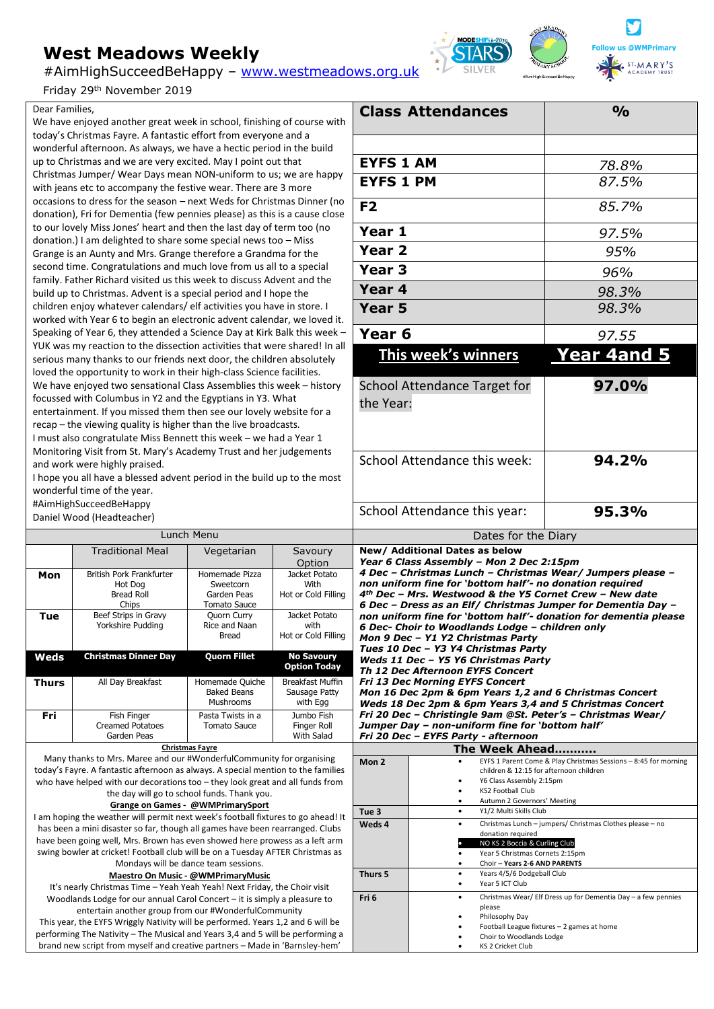# **West Meadows Weekly**

#AimHighSucceedBeHappy – [www.westmeadows.org.uk](http://www.westmeadows.org.uk/)

Friday 29<sup>th</sup> November 2019

### Dear Families,

We have enjoyed another great week in school, finishing of course with today's Christmas Fayre. A fantastic effort from everyone and a wonderful afternoon. As always, we have a hectic period in the build up to Christmas and we are very excited. May I point out that Christmas Jumper/ Wear Days mean NON-uniform to us; we are happy with jeans etc to accompany the festive wear. There are 3 more occasions to dress for the season – next Weds for Christmas Dinner (no donation), Fri for Dementia (few pennies please) as this is a cause close to our lovely Miss Jones' heart and then the last day of term too (no donation.) I am delighted to share some special news too – Miss Grange is an Aunty and Mrs. Grange therefore a Grandma for the second time. Congratulations and much love from us all to a special family. Father Richard visited us this week to discuss Advent and the build up to Christmas. Advent is a special period and I hope the children enjoy whatever calendars/ elf activities you have in store. I worked with Year 6 to begin an electronic advent calendar, we loved it. Speaking of Year 6, they attended a Science Day at Kirk Balk this week – YUK was my reaction to the dissection activities that were shared! In all serious many thanks to our friends next door, the children absolutely loved the opportunity to work in their high-class Science facilities. We have enjoyed two sensational Class Assemblies this week – history focussed with Columbus in Y2 and the Egyptians in Y3. What entertainment. If you missed them then see our lovely website for a recap – the viewing quality is higher than the live broadcasts. I must also congratulate Miss Bennett this week – we had a Year 1 Monitoring Visit from St. Mary's Academy Trust and her judgements and work were highly praised.

I hope you all have a blessed advent period in the build up to the most wonderful time of the year.

#AimHighSucceedBeHappy

Daniel Wood (Headteacher)

| Lunch Menu          |                                                                   |                                                            |                                                      |  |
|---------------------|-------------------------------------------------------------------|------------------------------------------------------------|------------------------------------------------------|--|
|                     | <b>Traditional Meal</b>                                           | Vegetarian                                                 | Savoury<br>Option                                    |  |
| Mon                 | British Pork Frankfurter<br>Hot Dog<br><b>Bread Roll</b><br>Chips | Homemade Pizza<br>Sweetcorn<br>Garden Peas<br>Tomato Sauce | Jacket Potato<br>With<br>Hot or Cold Filling         |  |
| Tue                 | Beef Strips in Gravy<br>Yorkshire Pudding                         | Quorn Curry<br>Rice and Naan<br>Bread                      | Jacket Potato<br>with<br>Hot or Cold Filling         |  |
| Weds                | <b>Christmas Dinner Day</b>                                       | <b>Quorn Fillet</b>                                        | <b>No Savoury</b><br><b>Option Today</b>             |  |
| <b>Thurs</b>        | All Day Breakfast                                                 | Homemade Quiche<br><b>Baked Beans</b><br>Mushrooms         | <b>Breakfast Muffin</b><br>Sausage Patty<br>with Egg |  |
| Fri                 | Fish Finger<br><b>Creamed Potatoes</b><br>Garden Peas             | Pasta Twists in a<br>Tomato Sauce                          | Jumbo Fish<br>Finger Roll<br><b>With Salad</b>       |  |
| Charles and Parties |                                                                   |                                                            |                                                      |  |

#### **Christmas Fayre**

Many thanks to Mrs. Maree and our #WonderfulCommunity for organising today's Fayre. A fantastic afternoon as always. A special mention to the families who have helped with our decorations too – they look great and all funds from the day will go to school funds. Thank you.

### **Grange on Games - @WMPrimarySport**

I am hoping the weather will permit next week's football fixtures to go ahead! It has been a mini disaster so far, though all games have been rearranged. Clubs have been going well, Mrs. Brown has even showed here prowess as a left arm swing bowler at cricket! Football club will be on a Tuesday AFTER Christmas as Mondays will be dance team sessions.

#### **Maestro On Music - @WMPrimaryMusic**

It's nearly Christmas Time – Yeah Yeah Yeah! Next Friday, the Choir visit Woodlands Lodge for our annual Carol Concert – it is simply a pleasure to entertain another group from our #WonderfulCommunity

This year, the EYFS Wriggly Nativity will be performed. Years 1,2 and 6 will be performing The Nativity – The Musical and Years 3,4 and 5 will be performing a brand new script from myself and creative partners – Made in 'Barnsley-hem'